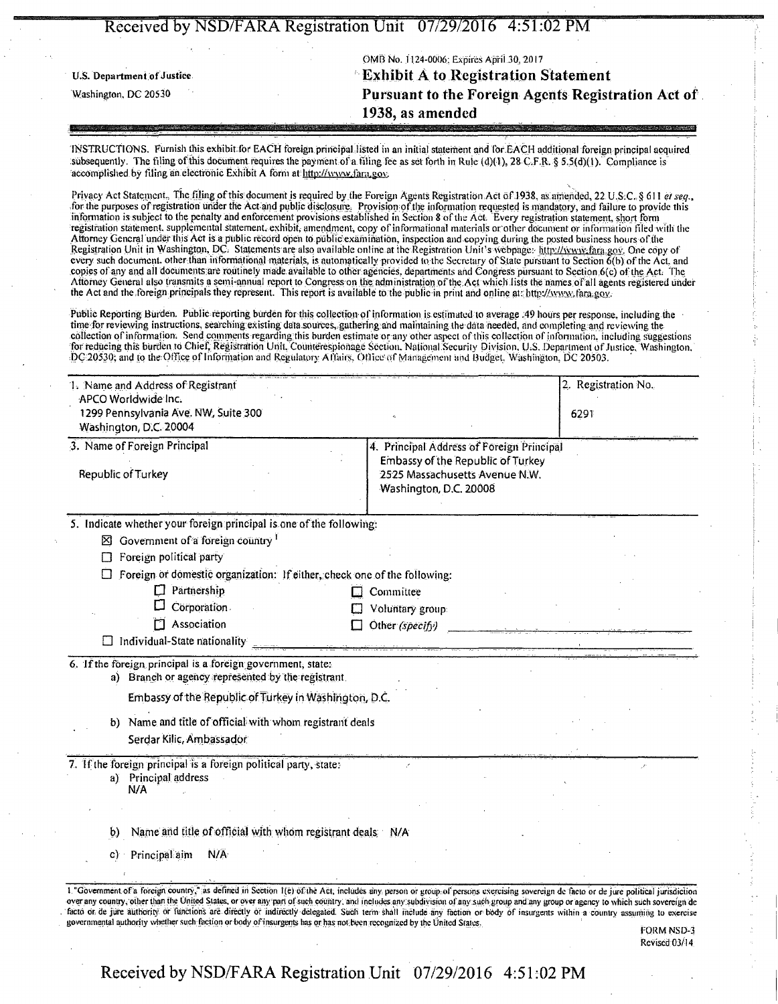|                            |  | $\mathbf{r}$                                                                                                        |
|----------------------------|--|---------------------------------------------------------------------------------------------------------------------|
|                            |  | OMB No. 1124-0006; Expires April 30, 2017                                                                           |
| U.S. Department of Justice |  | <b>Exhibit A to Registration Statement</b>                                                                          |
| Washington, DC 20530       |  | Pursuant to the Foreign Agents Registration Act of                                                                  |
|                            |  | 1938, as amended                                                                                                    |
|                            |  | and the contract of the contract of the contract of the contract of the contract of the contract of the contract of |

INSTRUCTIONS. Furnish this exhibit for EACH foreign principal listed in an initial statement and for EACH additional foreign-principal acquired subsequently. The filing of this document requires the payment of a filing fee as set forth in Rule (d)(1).  $28 \text{ C-F.R.}$  § 5.5(d)(1). Compliance is accomplished by filing an electronic Exhibit A form at http://www.fara.gov.

Privacy Act Statement., The filing of this document is required by the Foreign Agents Registration Act of 1938, as amended, 22 U.S.C. § 611 el seq., for the purposes of registration under the Act and public disclosure. Provision of the information requested is mandatory, and failure to provide this<br>information is subject to the penalty and enforcement provisions establ registration statement, supplemental statement.exhibit, amendment, copy of informational materials or'other document or information filed with the Attorney Gencral undef this Act is a public record open to public'examination, inspection and copying during the posted business hours of the Registration Unit in Washington, DC. Statements are also available online at the Registration Unit's webpage: littp://www.fara.gov. One copy of every such document, other than informational materials, is automatically provided to the Secretary of State pursuant to Section 6(b) of the Act, and copies of any and all documents are routinely made available to other agencies, departments and Congress pursuant to Section 6(c) of the Act. The Attorney General also transmits a semi-annual report to Congress on the; administration of the;Act which lists the names.of all agents registered under the Act and the foreign principals they represent. This report is available to the public in print and online at http://www.fara.gov.

Public Reporting Burden. Public reporting burden tor this collection of information is estimated to average .49 hours per response, including the time for reviewing instructions, searching existing data sources, gathering and maintaining the data needed, and completing and reviewing the collection of information. Send comments regarding this burden estimate or any other aspect of this collection of information, including suggestions for reducing this burden to Chief, Registration Unit, Counterespionage Section. National Security Division, U.S. Department of Justice, Washington. DC 20530; and to the Office of Information and Regulatory Affairs, Office of Management and Budget, Washington, DC 20503.

| 1. Name and Address of Registrant                                                                                |                                                                                | 2. Registration No. |  |
|------------------------------------------------------------------------------------------------------------------|--------------------------------------------------------------------------------|---------------------|--|
| APCO Worldwide Inc.<br>1299 Pennsylvania Ave. NW, Suite 300<br>Washington, D.C. 20004                            | 6291                                                                           |                     |  |
| 3. Name of Foreign Principal                                                                                     | 4. Principal Address of Foreign Principal<br>Embassy of the Republic of Turkey |                     |  |
| Republic of Turkey                                                                                               | 2525 Massachusetts Avenue N.W.<br>Washington, D.C. 20008                       |                     |  |
| 5. Indicate whether your foreign principal is one of the following:                                              |                                                                                |                     |  |
| $\boxtimes$ Government of a foreign country <sup>1</sup>                                                         |                                                                                |                     |  |
| Foreign political party<br>П                                                                                     |                                                                                |                     |  |
| $\Box$ Foreign of domestic organization: If either, check one of the following:                                  |                                                                                |                     |  |
| $\Box$ Partnership                                                                                               | Committee                                                                      |                     |  |
| Corporation.<br>П                                                                                                | Voluntary group:                                                               |                     |  |
| Association                                                                                                      | Other (specify)                                                                |                     |  |
| Individual-State nationality                                                                                     |                                                                                |                     |  |
| 6. If the foreign principal is a foreign government, state:<br>a) Branch or agency represented by the registrant |                                                                                |                     |  |
| Embassy of the Republic of Turkey in Washington, D.C.                                                            |                                                                                |                     |  |
| Name and title of official with whom registrant deals<br>b)                                                      |                                                                                |                     |  |
| Serdar Kilic, Ambassador                                                                                         |                                                                                |                     |  |
| 7. If the foreign principal is a foreign political party, state:<br>a) Principal address<br>N/A                  |                                                                                |                     |  |
|                                                                                                                  |                                                                                |                     |  |
| Name and title of official with whom registrant deals N/A<br>b)                                                  |                                                                                |                     |  |
| Principal aim<br>N/A<br>C)                                                                                       |                                                                                |                     |  |
|                                                                                                                  |                                                                                |                     |  |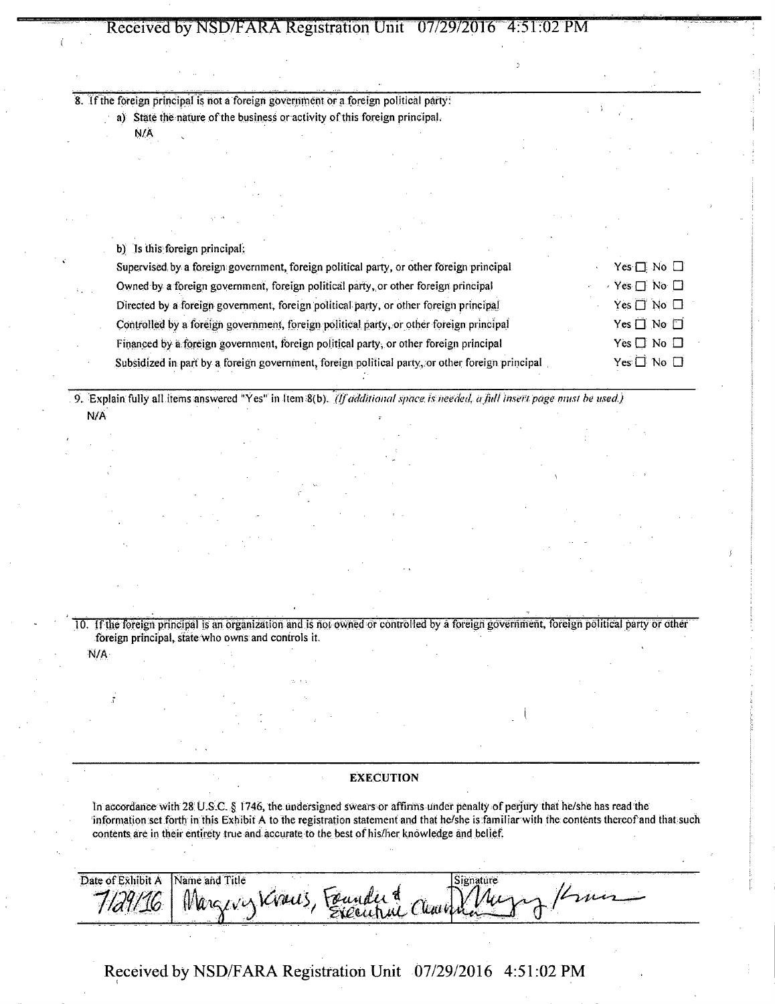8. If the foreign principal is not a foreign government or a foreign political party:

a) State the nature of the business or activity of this foreign principal.

N/A

| b) Is this foreign principal.                                                                   |                            |
|-------------------------------------------------------------------------------------------------|----------------------------|
| Supervised by a foreign government, foreign political party, or other foreign principal         | Yes $\Box$ No $\Box$       |
| Owned by a foreign government, foreign political party, or other foreign principal              | Yes $\Box$ No $\Box$       |
| Directed by a foreign government, foreign political party, or other foreign principal           | Yes $\Box'$ No $\Box$      |
| Controlled by a foreign government, foreign political party, or other foreign principal         | Yes $\Box$ No $\Box$       |
| Financed by a foreign government, foreign political party, or other foreign principal           | Yes $\square$ No $\square$ |
| Subsidized in part by a foreign government, foreign political party, or other foreign principal | $Yes \Box No \Box$         |
|                                                                                                 |                            |

9. Explain fully all items answered "Yes" in Item 8(b). *(If additional space, is needed, a full insert page nmst be used.)* N/A

10. If the foreign principal is an organization and is not owned or controlled by a foreign government, foreign political party or other foreign principal, state who owns: and controls it.

## N/A

## **EXECUTION**

In accordance with 28: U.S.C. § 1746, the undersigned swears or affirms under penalty of perjury that he/she has read the information set forth in this Exhibit A to the registration statement and that he/she is familiar with the contents thereof and that such contents are in their entirety true and accurate to the best of his/her knowledge and belief.

| $\sim$ $\sim$      | - 100 - 100 - 100 | $\overline{\phantom{a}}$ | . |
|--------------------|-------------------|--------------------------|---|
|                    | ۰A<br>in ma       |                          |   |
| and a simple and a | $\sim$            |                          |   |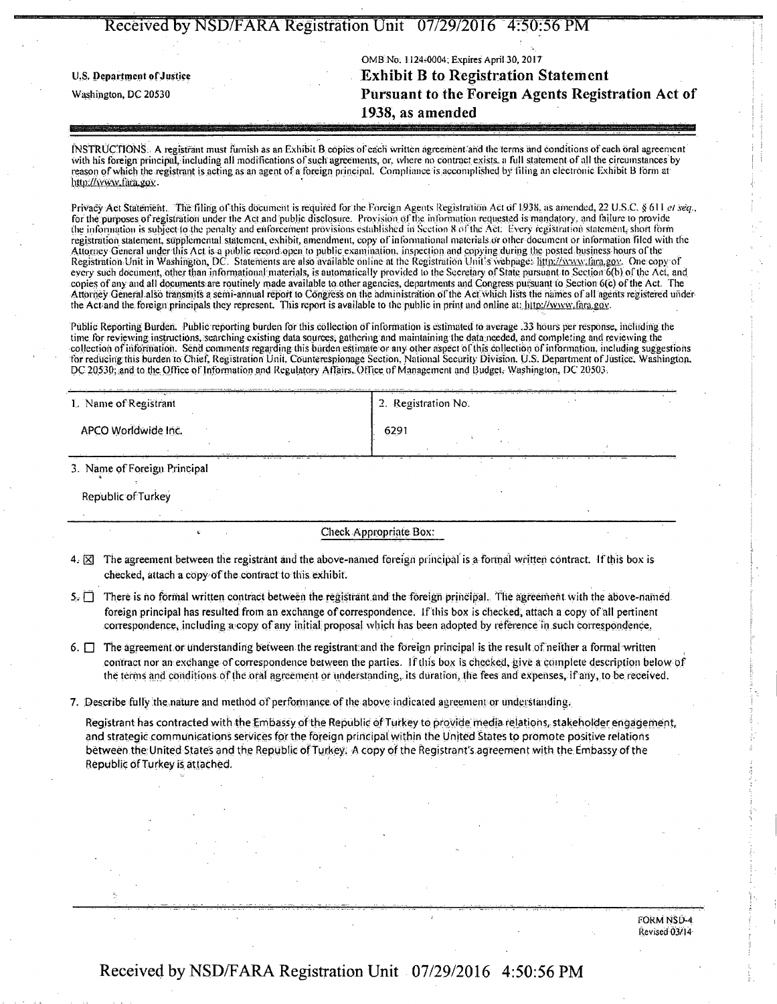| Received by NSD/FARA Registration Unit 07/29/2016 4:50:56 PM |                                                    |  |  |
|--------------------------------------------------------------|----------------------------------------------------|--|--|
|                                                              |                                                    |  |  |
| OMB No. 1124-0004; Expires April 30, 2017                    |                                                    |  |  |
| U.S. Department of Justice                                   | <b>Exhibit B to Registration Statement</b>         |  |  |
| Washington, DC 20530                                         | Pursuant to the Foreign Agents Registration Act of |  |  |
|                                                              | 1938, as amended                                   |  |  |
|                                                              |                                                    |  |  |

INSTRUCTIONS: A registrant must furnish as an Exhibit B copies of each written agreement and the terms and conditions of each oral agreement with his foreign principal, including all modifications of such agreements, or, where no contract exists, a full statement of all the circumstances by reason of which the registrant is acting as an agent of a foreign principal. Compliance is accomplished by filing an electronic Exhibit B form at http://www.fara.gov.

Privacy Act Statement. The filing of this document is required for the Foreign Agents Registration Act of 1938, as amended, 22 U.S.C. § 611 el seq., for the purposes of registration under the Act and public disclosure. Provision of the information requested is mandatory, and failure to provide the information is subject to the penalty and enforcement provisions established in Section 8 of the Act: Every registration statement, short form registration statement, supplemental statement, exhibit, amendment, copy of informational materials Or other document or information filed with the Attorney General under this Act is a public record open to public examination, inspection and copying during the posted .business hours ofthe Registration Unit in Washington, DC. Statements are also available online at the Registration Unit's webpage: http://www.fara.gov. One copy of every such document, other than informational materials, is automatically provided to the Secretary of State pursuant to Section  $6(b)$  of the Act, and copies of any and all documents are routinely made available to other agencies, departments and Congress pursuant to Section 6(c) of the Act. The Attorney General also transmits a semi-annual report to Congress on the administration of the Aci which lists the harries of all agents registered under the Act and the foreign principals they represent. This report is available to the public in print and online at: http://www.tara.gov.

Public Reporting Burden. Public reporting burden for this collection of information is estimated to average .33 hours per response, including the time for reviewing: instructions, searching existing data sources; gathering and maintaining the dataneeded, and completing and reviewing the collection of information. Send comments regarding this burden estimate or any other aspect of this collection of information, including suggestions for reducingthis burden to Chief, Registration Unit, Counterespionage Section, National Security Division. U.S. Department of Justice, Washington, DC 20530; and to the Office of Information and Regulatory AtTairs. Office of Management and Budget. Washington, DC 20503.

| 1. Name of Registrant        | 2. Registration No. |
|------------------------------|---------------------|
| APCO Worldwide Inc.          | 6291                |
| 3. Name of Foreign Principal |                     |

Republic of Turkey

Check Appropriate Box:

- $4. \times$  The agreement between the registrant and the above-named foreign principal is a formal written contract. If this box is checked, attach a copyof the contract to this exhibit.
- $5.$  There is no formal written contract between the registrant and the foreign principal. The agreement with the above-named foreign principal has resulted from an exchange of correspondence. If this box is checked, attach a copy of all pertinent correspondence, including a copy of any initial proposal which has been adopted by reference in such correspondence.
- $6.$   $\Box$  The agreement or understanding between the registrant and the foreign principal is the result of neither a formal written contract nor an exchange of correspondence between the parties. If this box is checked, give a complete description below of the terms and conditions of the oral agreement or understanding, its duration, the fees and expenses, if any, to be received.

7. Describe fully the nature and method of performance of the above indicated agreement or understanding.

Registrant has contracted with the Embassy of the Republic of Turkey to provide media relations, stakeholder engagement, and strategic communications services for the foreign principal within the United States to promote positive relations between the United States and the Republic of Turkey. A copy of the Registrant's agreement with the Embassy of the Republic of Turkey is attached.

> FORM NSD-4 Revised 03/14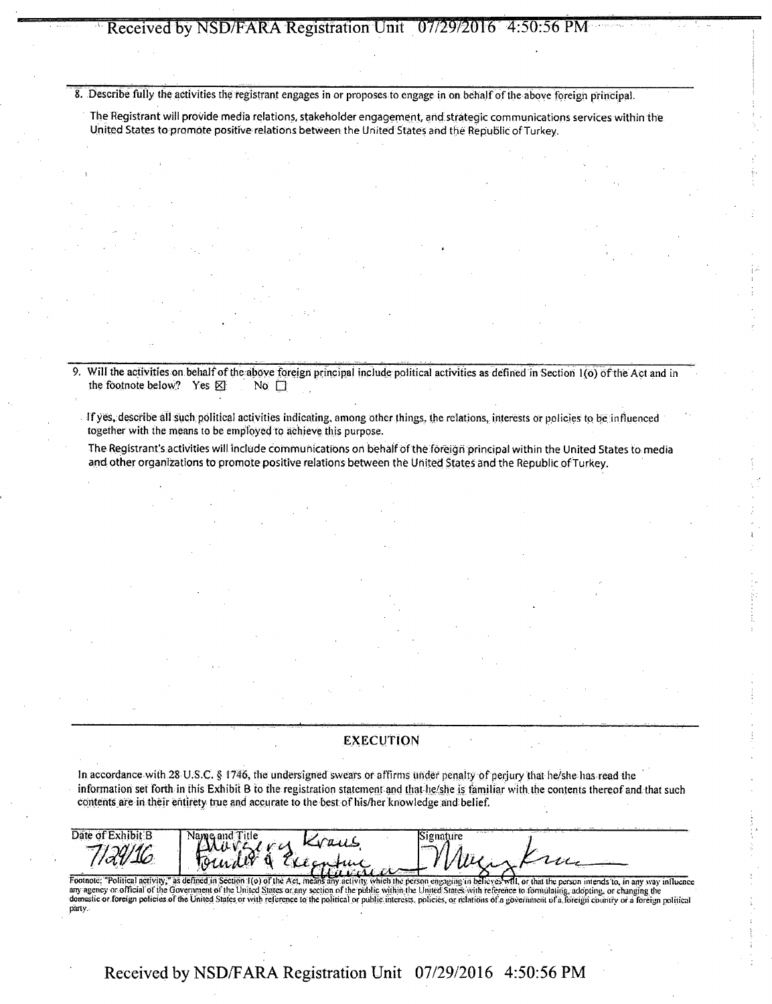8. Describe fully the activities the registrant engages in or proposes to engage in on behalf of the above foreign principal.

The Registrant will provide media relations, stakeholder engagement, and strategic communications services within the United States to promote positive relations between the United States and the Republic of Turkey.

Will the activities on behalf of the above foreign principal include political activities as defined in Section 1(0) of the Act and in the footnote below? Yes  $\boxtimes$  No  $\square$ the footnote below? Yes  $\boxtimes$ 

If yes, describe all such political activities indicating, among other things, the relations, interests or policies to be influenced together with the means to be employed to achieve this purpose.

The Registrant's activities will include communications on behalf of the foreign principal within the United States to media and other organizations to promote positive relations between the United States and the Republic of Turkey.

### **EXECUTION**

In accordance with 28 U.S.C. § 1746, the undersigned swears or affirms under penalty of perjury that he/she has read the information set forth in this Exhibit B to the registration statement and that he/she is familiar with the contents thereof and that such contents are in their entirety true and accurate to the best of his/her knowledge and belief.

| -dt:Evhihit:R<br>Jate<br>- 755<br><b>110 MM</b> | Name                                                                                                                                                                                                                           |                       | .<br>.     |         |
|-------------------------------------------------|--------------------------------------------------------------------------------------------------------------------------------------------------------------------------------------------------------------------------------|-----------------------|------------|---------|
|                                                 |                                                                                                                                                                                                                                |                       |            | .       |
|                                                 | The contract of the contract of the contract of the contract of the contract of the contract of the contract of the contract of the contract of the contract of the contract of the contract of the contract of the contract o | the state of the same | <br>100000 | . .<br> |

"Political activity;" as defined in Section 1(o) of the Act, means any activity, which the person engaging in believes will, or that the person intends to, in any way influence any agency or official of the Government of the United States or any section of the public within the United States with reference to formulating, adopting, or changing the domestic or foreign policies of the United States or with reference to the political or public interests, policies, or relations of a government of a foreign country or a foreign political party.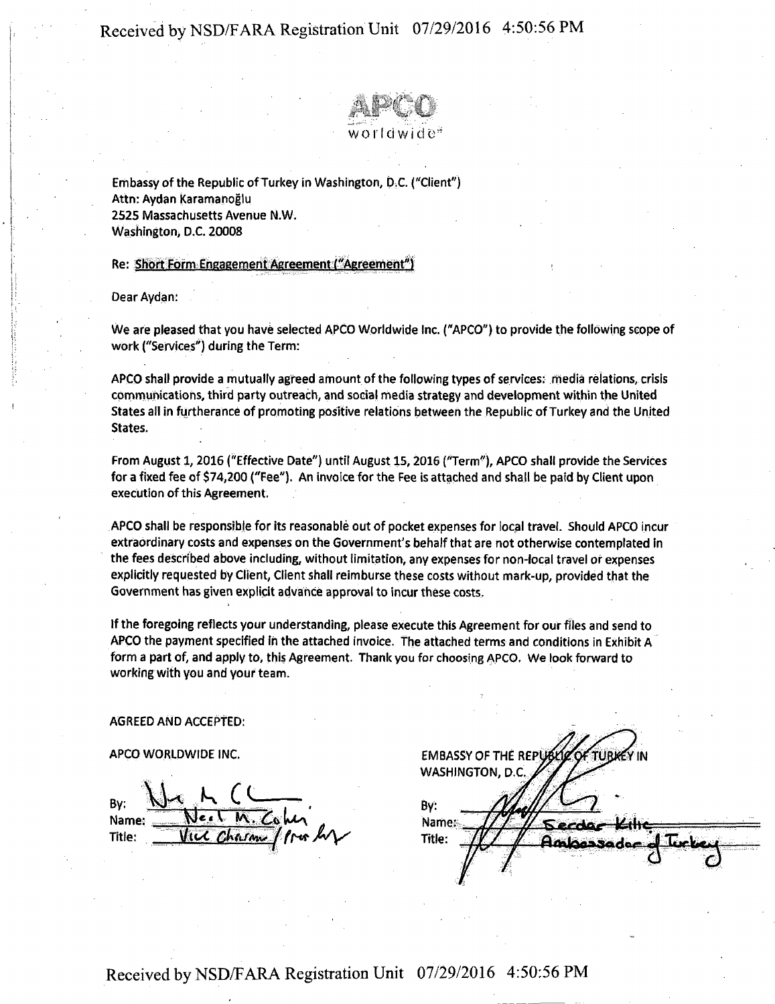Re: Short Form Engagement Agreement ("Agreement") .



Embassy of the Republic of Turkey in Washington, D.C. ("Client") Attn: Aydan Karamanoglu 2525 Massachusetts Avenue N.W. Washington, D.C. 20008

## Re: Short Form Engagement Agreement ("Agreement")

Dear Aydan:

We are pleased that you have selected APCO Worldwide Inc. ("APCO") to provide the following scope of work (''Services'') during the Term:

APCO shall provide a mutually agreed amount of the following types of services: media relations, crisis communications, third party outreach, and social media strategy and development within the United States all in furtherance of promoting positive relations between the Republic of Turkey and the United States.

From August 1, 2016 ("Effective Date") until August 15, 2016 ("Term"), APCO shall provide the Services for a fixed fee of \$74,200 ("Fee"). An invoice for the Fee is attached and shall be paid by Client upon execution of this Agreement.

APCO shall be responsible for its reasonable out of pocket expenses for local travel. Should APCO incur extraordinary costs and expenses on the Government's behalf that are not otherwise contemplated in the fees described above including, without limitation, any expenses for non-local travel or expenses explicitly requested by Client, Client shall reimburse these costs without mark-up, provided that the Government has given explicit advance approval to incur these costs.

If the foregoing reflects your understanding, please execute this Agreement for our files and send to APCO the payment specified in the attached invoice. The attached terms and conditions in Exhibit A form a part of, and apply to, this Agreement. Thank you for choosing APCO. We look forward to working with you and your team.

## AGREED AND ACCEPTED:

## APCO WORLDWIDE INC.

By:  $M \sim M$ Name: Title: <u>VICC Chasme</u> for

EMBASSY OF THE REPU YIN WASHINGTON, D.C. By: Name: Title: Ambassada  $\delta$   $\frac{1}{\delta}$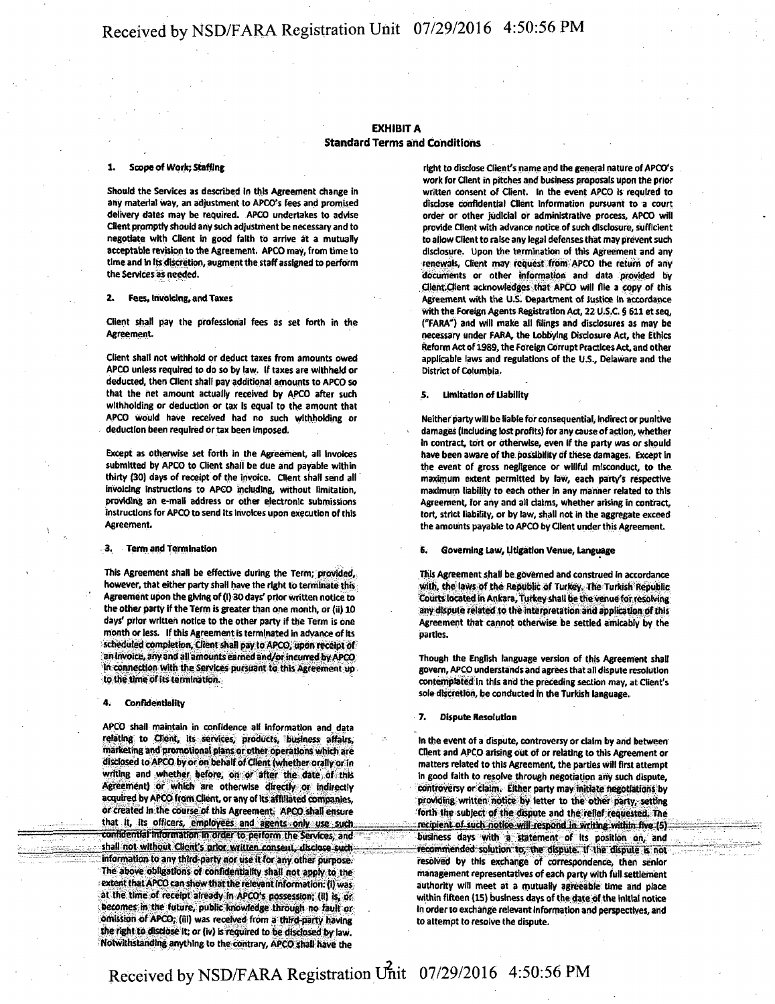### **EXHIBIT A Standard Terms and Conditions**

#### Scope of Work; Staffing

Should the Services as described in this Agreement change in any material way, an adjustment to APCO's fees and promised delivery dates may be required. APCO undertakes to advise Client promptly should any such adjustment be necessary and to negotiate with Client in good faith to arrive at a mutually acceptable revision to the Agreement. APCO may, from time to time and In Its discretion, augment the staff assigned to perform the Services as needed.

#### 2. Fees, Invoicing, and Taxes

Client shall pay the professional fees as set forth in the Agreement.

Client shall not withhold or deduct taxes from amounts owed APCO unless required to do so by law. If taxes are withheld or deducted, then Client shall pay additional amounts to APCO so that the net amount actually received by APCO after such withholding or deduction or tax is equal to the amount that APCO would have received had no such withholding or deduction been required or tax been imposed.

Except as otherwise set forth in the Agreement, all Invoices submitted by APCO to Client shall be due and payable within thirty (30) days of receipt of the invoice. Client shall send all invoicing instructions to APCO including, without limitation, providing an e-mail address or other electronic submissions instructions for APCO to send its Invoices upon execution of this Agreement.

#### 3. Term and Termination

This Agreement shall be effective during the Term; provided, however, that either party shall have the right to terminate this Agreement upon the giving of (1) 30 days' prior written notice to the other party if the Term is greater than one month, or (ii) 10 days' prior written notice to the other party if the Term is one month or less. If this Agreement is terminated in advance of Its scheduled completion. Client shall pay to APCO, upon receipt of an Invoice, any and all amounts earned and/or incurred by APCO in connection with the Services pursuant to this Agreement up to the time of its termination.

#### **Confidentiality**

APCO shall maintain in confidence all information and data relating to Client, its services, products, business affairs, marketing and promotional plans or other operations which are disclosed to APCO by or on behalf of Client (whether orally or in writing and whether before, on or after the date of this Agreement) or which are otherwise directly or indirectly acquired by APCO from Client, or any of its affiliated companies, or created in the course of this Agreement: APCO shall ensure that it, its officers, employees and agents only use such confidential information in order to perform the Services, and shall not without Client's prior written consent, disclose such information to any third-party nor use it for any other purpose. The above obligations of confidentiality shall not apply to the extent that APCO can show that the relevant information: (1) was at the time of receipt already In APCO's possession; {1IJ is, or becomes in the future, public knowledge through no fault or omission of APCO; (ill) was received from a third-party having the right to disclose It; or (iv) Is required to be disclosed by law. Notwithstanding anything to the contrary, APCO shall have the

right to disclose Client's name and the general nature of APCO's work for Client in pitches and business proposals upon the prior written consent of Client. In the event APCO Is required to disclose confidential Client Information pursuant to a court order or other judicial or administrative process, APCO will provide Client with advance notice of such disclosure, sufficient to allow Client to raise any legal defenses that may prevent such disclosure. Upon the termination of this Agreement and any renewals, Client may request from APCO the return of any documents or other information and data provided by Cllent.Client acknowledges that APCO will file a copy of this Agreement with the U.S. Department of Justice In accordance with the Foreign Agents Registration Act, 22 U.S.C. § 611 etseq, ("FARA") and will make all filings and disclosures as may be necessary under FARA, the Lobbying Disclosure Act, the Ethics Reform Act of 1989, the Foreign Corrupt Practices Act, and other applicable laws and regulations of the U.S., Delaware and the District of Columbia .

#### 5. Limitation of liability

Neither party will be liable for consequential, indirect or punitive damages (including lost profits) for any cause of action, whether In contract, tort or otherwise, even if the party was or should have been aware of the possibility of these damages. Except in the event of gross negligence or willful misconduct, to the maximum extent permitted by law, each party's respective maximum liability to each other in any manner related to this Agreement, for any and all dalms, whether arising in contract, tort, strict liability, or by law, shall not in the aggregate exceed the amounts payable to APCO by Client under this Agreement,

#### 6. Governing Law, Litigation Venue, Language

This Agreement shall be governed and construed In accordance with, the laws of the Republic of Turkey. The Turkish Repubfic Courts located in Ankara, Turkey shall be the venue for resolving any dispute related to the interpretation and application of this Agreement that cannot otherwise be settled amicably by the parties.

Though the English language version of this Agreement shall govern, APCO understands and agrees that all dispute resolu tion contemplated In this and the preceding section may, at Client's sole discretion, be conducted In the Turkish language.

#### 7. Dispute Resolution

In the event of a dispute, controversy or claim by and between Client and APCO arising out of or relating to this Agreement or matters related to this Agreement, the parties will first attempt In good faith to resolve through negotiation any such dispute, controversy or claim. Either party may initiate negotiations by providing written notice by letter to the other party, setting forth the subject of the dispute and the relief requested. The recipient of such notice will respond in writing within five (S). business days with a statement of Its position on, and recommended solution to, the dispute. If the dispute is not resolved by this exchange of correspondence, then senior management representatives of each party with full settlement authority will meet at a mutually agreeable time and place within fifteen (15) business days of the date of the initial notice In order to exchange relevant Information and perspectives, and to attempt to resolve the dispute.